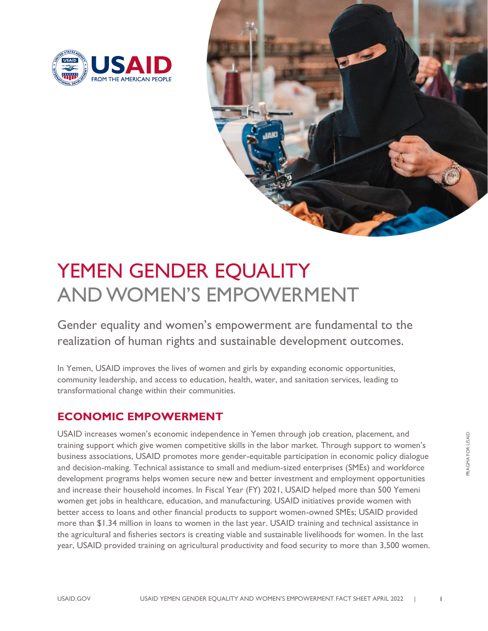



# YEMEN GENDER EQUALITY AND WOMEN'S EMPOWERMENT

Gender equality and women's empowerment are fundamental to the realization of human rights and sustainable development outcomes.

In Yemen, USAID improves the lives of women and girls by expanding economic opportunities, community leadership, and access to education, health, water, and sanitation services, leading to transformational change within their communities.

## **ECONOMIC EMPOWERMENT**

USAID increases women's economic independence in Yemen through job creation, placement, and training support which give women competitive skills in the labor market. Through support to women's business associations, USAID promotes more gender-equitable participation in economic policy dialogue and decision-making. Technical assistance to small and medium-sized enterprises (SMEs) and workforce development programs helps women secure new and better investment and employment opportunities and increase their household incomes. In Fiscal Year (FY) 2021, USAID helped more than 500 Yemeni women get jobs in healthcare, education, and manufacturing. USAID initiatives provide women with better access to loans and other financial products to support women-owned SMEs; USAID provided more than \$1.34 million in loans to women in the last year. USAID training and technical assistance in the agricultural and fisheries sectors is creating viable and sustainable livelihoods for women. In the last year, USAID provided training on agricultural productivity and food security to more than 3,500 women.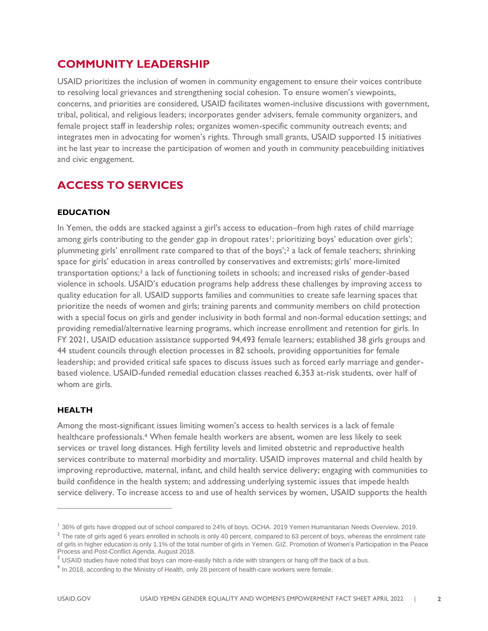## **COMMUNITY LEADERSHIP**

USAID prioritizes the inclusion of women in community engagement to ensure their voices contribute to resolving local grievances and strengthening social cohesion. To ensure women's viewpoints, concerns, and priorities are considered, USAID facilitates women-inclusive discussions with government, tribal, political, and religious leaders; incorporates gender advisers, female community organizers, and female project staff in leadership roles; organizes women-specific community outreach events; and integrates men in advocating for women's rights. Through small grants, USAID supported 15 initiatives int he last year to increase the participation of women and youth in community peacebuilding initiatives and civic engagement.

## **ACCESS TO SERVICES**

### **EDUCATION**

In Yemen, the odds are stacked against a girl's access to education–from high rates of child marriage among girls contributing to the gender gap in dropout rates<sup>1</sup>; prioritizing boys' education over girls'; plummeting girls' enrollment rate compared to that of the boys';<sup>2</sup> a lack of female teachers; shrinking space for girls' education in areas controlled by conservatives and extremists; girls' more-limited transportation options;<sup>3</sup> a lack of functioning toilets in schools; and increased risks of gender-based violence in schools. USAID's education programs help address these challenges by improving access to quality education for all. USAID supports families and communities to create safe learning spaces that prioritize the needs of women and girls; training parents and community members on child protection with a special focus on girls and gender inclusivity in both formal and non-formal education settings; and providing remedial/alternative learning programs, which increase enrollment and retention for girls. In FY 2021, USAID education assistance supported 94,493 female learners; established 38 girls groups and 44 student councils through election processes in 82 schools, providing opportunities for female leadership; and provided critical safe spaces to discuss issues such as forced early marriage and genderbased violence. USAID-funded remedial education classes reached 6,353 at-risk students, over half of whom are girls.

### **HEALTH**

Among the most-significant issues limiting women's access to health services is a lack of female healthcare professionals.<sup>4</sup> When female health workers are absent, women are less likely to seek services or travel long distances. High fertility levels and limited obstetric and reproductive health services contribute to maternal morbidity and mortality. USAID improves maternal and child health by improving reproductive, maternal, infant, and child health service delivery; engaging with communities to build confidence in the health system; and addressing underlying systemic issues that impede health service delivery. To increase access to and use of health services by women, USAID supports the health

<sup>&</sup>lt;sup>1</sup> 36% of girls have dropped out of school compared to 24% of boys. OCHA. 2019 Yemen Humanitarian Needs Overview, 2019.

 $^2$  The rate of girls aged 6 years enrolled in schools is only 40 percent, compared to 63 percent of boys, whereas the enrolment rate of girls in higher education is only 1.1% of the total number of girls in Yemen. GIZ. Promotion of Women's Participation in the Peace Process and Post-Conflict Agenda, August 2018.

 $3$  USAID studies have noted that boys can more-easily hitch a ride with strangers or hang off the back of a bus.

<sup>&</sup>lt;sup>4</sup> In 2018, according to the Ministry of Health, only 28 percent of health-care workers were female.